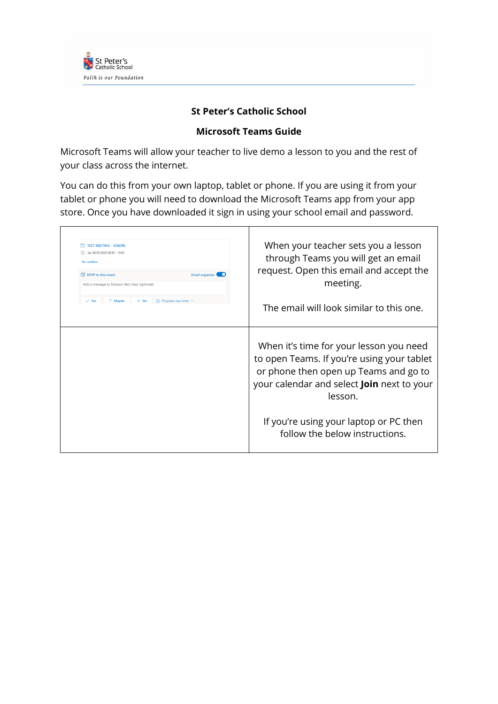

## **St Peter's Catholic School**

## **Microsoft Teams Guide**

Microsoft Teams will allow your teacher to live demo a lesson to you and the rest of your class across the internet.

You can do this from your own laptop, tablet or phone. If you are using it from your tablet or phone you will need to download the Microsoft Teams app from your app store. Once you have downloaded it sign in using your school email and password.

| <b>TEST MEETING - IGNORE</b><br>Sat 28/03/2020 09:30 - 10:00                | When your teacher sets you a lesson                                                                                                                                                     |
|-----------------------------------------------------------------------------|-----------------------------------------------------------------------------------------------------------------------------------------------------------------------------------------|
| No conflicts                                                                | through Teams you will get an email<br>request. Open this email and accept the                                                                                                          |
| <b>RSVP</b> to this event<br>Add a message to Branson Test Class (optional) | Email organiser <b>C</b><br>meeting.                                                                                                                                                    |
| $\vee$ Yes<br>7 Maybe<br>$\circ$ Propose new time $\vee$<br>$\times$ No     | The email will look similar to this one.                                                                                                                                                |
|                                                                             | When it's time for your lesson you need<br>to open Teams. If you're using your tablet<br>or phone then open up Teams and go to<br>your calendar and select Join next to your<br>lesson. |
|                                                                             | If you're using your laptop or PC then<br>follow the below instructions.                                                                                                                |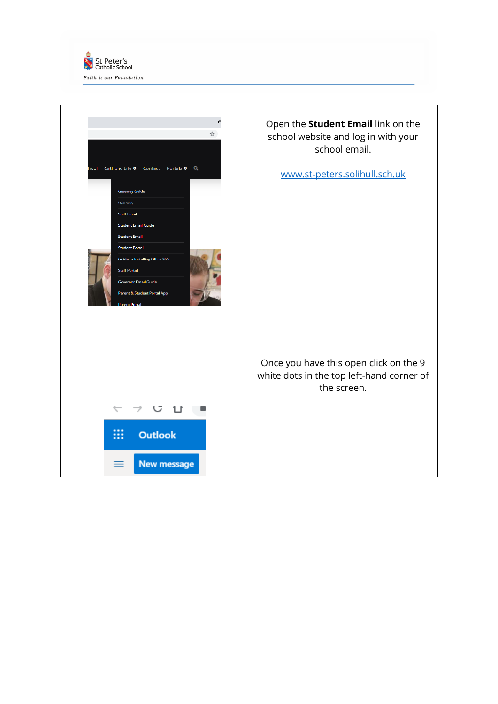